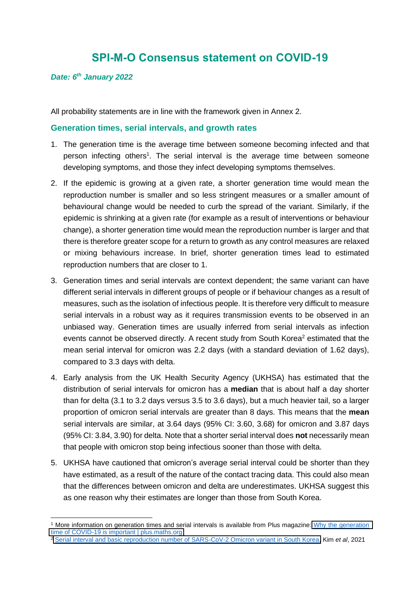# **SPI-M-O Consensus statement on COVID-19**

#### *Date: 6 th January 2022*

All probability statements are in line with the framework given in Annex 2.

### **Generation times, serial intervals, and growth rates**

- 1. The generation time is the average time between someone becoming infected and that person infecting others<sup>1</sup>. The serial interval is the average time between someone developing symptoms, and those they infect developing symptoms themselves.
- 2. If the epidemic is growing at a given rate, a shorter generation time would mean the reproduction number is smaller and so less stringent measures or a smaller amount of behavioural change would be needed to curb the spread of the variant. Similarly, if the epidemic is shrinking at a given rate (for example as a result of interventions or behaviour change), a shorter generation time would mean the reproduction number is larger and that there is therefore greater scope for a return to growth as any control measures are relaxed or mixing behaviours increase. In brief, shorter generation times lead to estimated reproduction numbers that are closer to 1.
- 3. Generation times and serial intervals are context dependent; the same variant can have different serial intervals in different groups of people or if behaviour changes as a result of measures, such as the isolation of infectious people. It is therefore very difficult to measure serial intervals in a robust way as it requires transmission events to be observed in an unbiased way. Generation times are usually inferred from serial intervals as infection events cannot be observed directly. A recent study from South Korea<sup>2</sup> estimated that the mean serial interval for omicron was 2.2 days (with a standard deviation of 1.62 days), compared to 3.3 days with delta.
- 4. Early analysis from the UK Health Security Agency (UKHSA) has estimated that the distribution of serial intervals for omicron has a **median** that is about half a day shorter than for delta (3.1 to 3.2 days versus 3.5 to 3.6 days), but a much heavier tail, so a larger proportion of omicron serial intervals are greater than 8 days. This means that the **mean** serial intervals are similar, at 3.64 days (95% CI: 3.60, 3.68) for omicron and 3.87 days (95% CI: 3.84, 3.90) for delta. Note that a shorter serial interval does **not** necessarily mean that people with omicron stop being infectious sooner than those with delta.
- 5. UKHSA have cautioned that omicron's average serial interval could be shorter than they have estimated, as a result of the nature of the contact tracing data. This could also mean that the differences between omicron and delta are underestimates. UKHSA suggest this as one reason why their estimates are longer than those from South Korea.

<sup>1</sup> More information on generation times and serial intervals is available from Plus magazine: [Why the generation](https://plus.maths.org/content/why-generation-time-covid-19-important)  [time of COVID-19 is important | plus.maths.org](https://plus.maths.org/content/why-generation-time-covid-19-important)

<sup>2</sup> [Serial interval and basic reproduction number of SARS-CoV-2 Omicron variant in South Korea,](https://www.medrxiv.org/content/10.1101/2021.12.25.21268301v1) Kim *et al*, 2021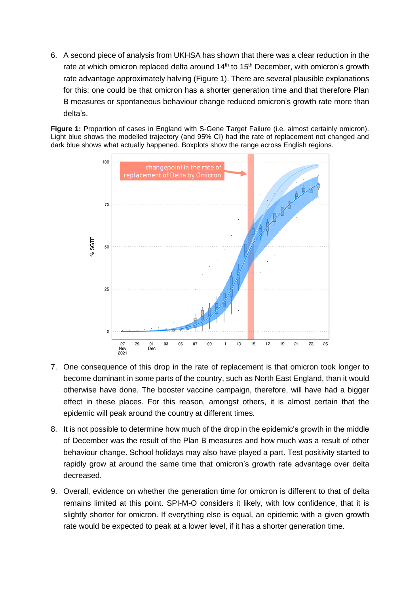6. A second piece of analysis from UKHSA has shown that there was a clear reduction in the rate at which omicron replaced delta around  $14<sup>th</sup>$  to  $15<sup>th</sup>$  December, with omicron's growth rate advantage approximately halving (Figure 1). There are several plausible explanations for this; one could be that omicron has a shorter generation time and that therefore Plan B measures or spontaneous behaviour change reduced omicron's growth rate more than delta's.

**Figure 1:** Proportion of cases in England with S-Gene Target Failure (i.e. almost certainly omicron). Light blue shows the modelled trajectory (and 95% CI) had the rate of replacement not changed and dark blue shows what actually happened. Boxplots show the range across English regions.



- 7. One consequence of this drop in the rate of replacement is that omicron took longer to become dominant in some parts of the country, such as North East England, than it would otherwise have done. The booster vaccine campaign, therefore, will have had a bigger effect in these places. For this reason, amongst others, it is almost certain that the epidemic will peak around the country at different times.
- 8. It is not possible to determine how much of the drop in the epidemic's growth in the middle of December was the result of the Plan B measures and how much was a result of other behaviour change. School holidays may also have played a part. Test positivity started to rapidly grow at around the same time that omicron's growth rate advantage over delta decreased.
- 9. Overall, evidence on whether the generation time for omicron is different to that of delta remains limited at this point. SPI-M-O considers it likely, with low confidence, that it is slightly shorter for omicron. If everything else is equal, an epidemic with a given growth rate would be expected to peak at a lower level, if it has a shorter generation time.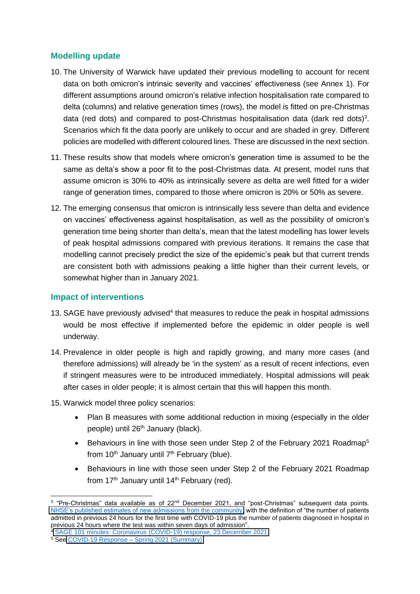## **Modelling update**

- 10. The University of Warwick have updated their previous modelling to account for recent data on both omicron's intrinsic severity and vaccines' effectiveness (see Annex 1). For different assumptions around omicron's relative infection hospitalisation rate compared to delta (columns) and relative generation times (rows), the model is fitted on pre-Christmas data (red dots) and compared to post-Christmas hospitalisation data (dark red dots)<sup>3</sup>. Scenarios which fit the data poorly are unlikely to occur and are shaded in grey. Different policies are modelled with different coloured lines. These are discussed in the next section.
- 11. These results show that models where omicron's generation time is assumed to be the same as delta's show a poor fit to the post-Christmas data. At present, model runs that assume omicron is 30% to 40% as intrinsically severe as delta are well fitted for a wider range of generation times, compared to those where omicron is 20% or 50% as severe.
- 12. The emerging consensus that omicron is intrinsically less severe than delta and evidence on vaccines' effectiveness against hospitalisation, as well as the possibility of omicron's generation time being shorter than delta's, mean that the latest modelling has lower levels of peak hospital admissions compared with previous iterations. It remains the case that modelling cannot precisely predict the size of the epidemic's peak but that current trends are consistent both with admissions peaking a little higher than their current levels, or somewhat higher than in January 2021.

## **Impact of interventions**

- 13. SAGE have previously advised<sup>4</sup> that measures to reduce the peak in hospital admissions would be most effective if implemented before the epidemic in older people is well underway.
- 14. Prevalence in older people is high and rapidly growing, and many more cases (and therefore admissions) will already be 'in the system' as a result of recent infections, even if stringent measures were to be introduced immediately. Hospital admissions will peak after cases in older people; it is almost certain that this will happen this month.
- 15. Warwick model three policy scenarios:
	- Plan B measures with some additional reduction in mixing (especially in the older people) until 26<sup>th</sup> January (black).
	- Behaviours in line with those seen under Step 2 of the February 2021 Roadmap<sup>5</sup> from  $10<sup>th</sup>$  January until  $7<sup>th</sup>$  February (blue).
	- Behaviours in line with those seen under Step 2 of the February 2021 Roadmap from  $17<sup>th</sup>$  January until  $14<sup>th</sup>$  February (red).

<sup>&</sup>lt;sup>3</sup> "Pre-Christmas" data available as of 22<sup>nd</sup> December 2021, and "post-Christmas" subsequent data points. [NHSE's published estimates of new admissions from the community,](https://eur03.safelinks.protection.outlook.com/?url=https%3A%2F%2Fwww.england.nhs.uk%2Fstatistics%2Fstatistical-work-areas%2Fcovid-19-hospital-activity%2F&data=04%7C01%7CSPI-M%40dhsc.gov.uk%7Cbef75961798c45ae4c9108d9d01af0f8%7C61278c3091a84c318c1fef4de8973a1c%7C1%7C0%7C637769636400333258%7CUnknown%7CTWFpbGZsb3d8eyJWIjoiMC4wLjAwMDAiLCJQIjoiV2luMzIiLCJBTiI6Ik1haWwiLCJXVCI6Mn0%3D%7C3000&sdata=nDUCxz0AOtTKaMYJk8H%2FsUWRj94gmz2M41CsuBKHBxo%3D&reserved=0) with the definition of "the number of patients admitted in previous 24 hours for the first time with COVID-19 plus the number of patients diagnosed in hospital in previous 24 hours where the test was within seven days of admission".

<sup>4</sup> [SAGE 101 minutes: Coronavirus \(COVID-19\) response, 23 December 2021](https://www.gov.uk/government/publications/sage-101-minutes-coronavirus-covid-19-response-23-december-2021/sage-101-minutes-coronavirus-covid-19-response-23-december-2021)

<sup>5</sup> See COVID-19 Response – [Spring 2021 \(Summary\)](https://www.gov.uk/government/publications/covid-19-response-spring-2021/covid-19-response-spring-2021-summary)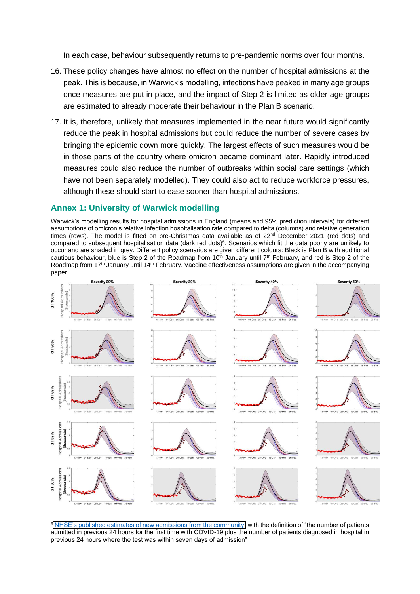In each case, behaviour subsequently returns to pre-pandemic norms over four months.

- 16. These policy changes have almost no effect on the number of hospital admissions at the peak. This is because, in Warwick's modelling, infections have peaked in many age groups once measures are put in place, and the impact of Step 2 is limited as older age groups are estimated to already moderate their behaviour in the Plan B scenario.
- 17. It is, therefore, unlikely that measures implemented in the near future would significantly reduce the peak in hospital admissions but could reduce the number of severe cases by bringing the epidemic down more quickly. The largest effects of such measures would be in those parts of the country where omicron became dominant later. Rapidly introduced measures could also reduce the number of outbreaks within social care settings (which have not been separately modelled). They could also act to reduce workforce pressures, although these should start to ease sooner than hospital admissions.

#### **Annex 1: University of Warwick modelling**

Warwick's modelling results for hospital admissions in England (means and 95% prediction intervals) for different assumptions of omicron's relative infection hospitalisation rate compared to delta (columns) and relative generation times (rows). The model is fitted on pre-Christmas data available as of 22<sup>nd</sup> December 2021 (red dots) and compared to subsequent hospitalisation data (dark red dots) $6$ . Scenarios which fit the data poorly are unlikely to occur and are shaded in grey. Different policy scenarios are given different colours: Black is Plan B with additional cautious behaviour, blue is Step 2 of the Roadmap from 10<sup>th</sup> January until  $7<sup>th</sup>$  February, and red is Step 2 of the Roadmap from 17th January until 14th February. Vaccine effectiveness assumptions are given in the accompanying paper.



<sup>6</sup> [NHSE's published estimates of new admissions from the community,](https://eur03.safelinks.protection.outlook.com/?url=https%3A%2F%2Fwww.england.nhs.uk%2Fstatistics%2Fstatistical-work-areas%2Fcovid-19-hospital-activity%2F&data=04%7C01%7CSPI-M%40dhsc.gov.uk%7Cbef75961798c45ae4c9108d9d01af0f8%7C61278c3091a84c318c1fef4de8973a1c%7C1%7C0%7C637769636400333258%7CUnknown%7CTWFpbGZsb3d8eyJWIjoiMC4wLjAwMDAiLCJQIjoiV2luMzIiLCJBTiI6Ik1haWwiLCJXVCI6Mn0%3D%7C3000&sdata=nDUCxz0AOtTKaMYJk8H%2FsUWRj94gmz2M41CsuBKHBxo%3D&reserved=0) with the definition of "the number of patients admitted in previous 24 hours for the first time with COVID-19 plus the number of patients diagnosed in hospital in previous 24 hours where the test was within seven days of admission"